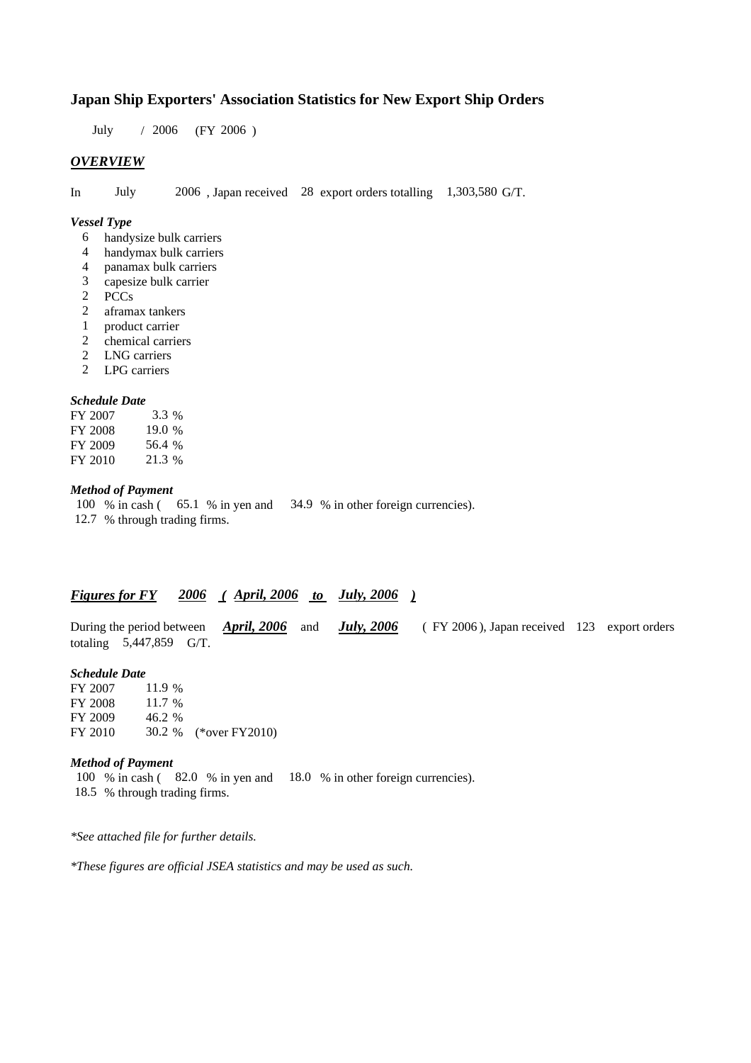## **Japan Ship Exporters' Association Statistics for New Export Ship Orders**

 $/ 2006$  (FY 2006) July 2006

#### *OVERVIEW*

In July 2006, Japan received 28 export orders totalling 1,303,580 G/T.

#### *Vessel Type*

- handysize bulk carriers 6
- handymax bulk carriers 4
- panamax bulk carriers 4
- capesize bulk carrier 3
- PCCs 2
- aframax tankers 2
- product carrier 1
- chemical carriers 2
- LNG carriers 2
- LPG carriers 2

#### *Schedule Date*

| FY 2007 | 3.3 %  |
|---------|--------|
| FY 2008 | 19.0%  |
| FY 2009 | 56.4 % |
| FY 2010 | 21.3 % |

### *Method of Payment*

100 % in cash (65.1 % in yen and 34.9 % in other foreign currencies). % through trading firms. 12.7

# *Figures for FY* 2006 (April, 2006 to July, 2006)

During the period between *April, 2006* and *July, 2006* (FY 2006), Japan received 123 export orders totaling 5,447,859 G/T.

#### *Schedule Date*

FY 2007 FY 2008 FY 2009 FY 2010 30.2 % (\*over FY2010) 11.9 % 11.7 % 46.2

#### *Method of Payment*

100 % in cash (82.0 % in yen and 18.0 % in other foreign currencies). % through trading firms. 18.5

*\*See attached file for further details.*

*\*These figures are official JSEA statistics and may be used as such.*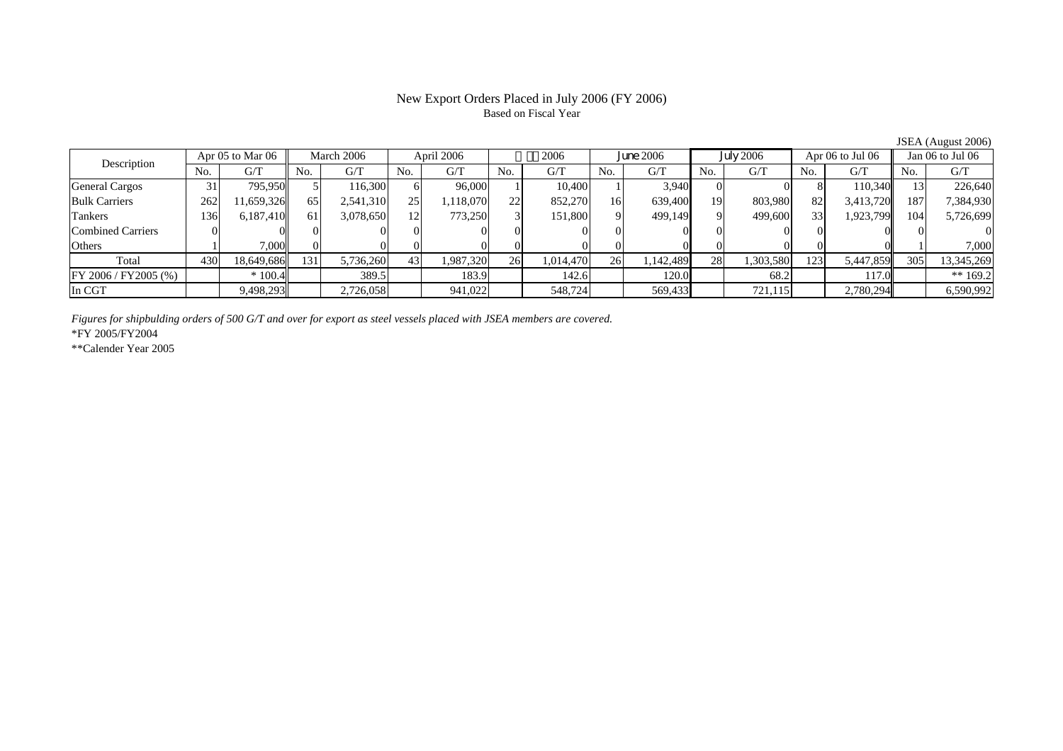# Based on Fiscal Year

No. G/T No. G/T No. G/T No. G/T No. G/T No. G/T No. G/T No. G/TGeneral Cargos | 31 795,950 5 116,300 6 96,000 1 10,400 1 3,940 0 0 8 110,340 13 226,640 Bulk Carriers | 262 | 11,659,326 65 2,541,310 25 1,118,070 22 852,270 16 639,400 19 803,980 82 3,413,720 187 7,384,930 Tankers | 136| 6,187,410|| 61| 3,078,650| 12| 773,250| 3| 151,800| 9| 499,149| 9| 499,600| 33| 1,923,799|| 104| 5,726,699 Combined Carriers 0 0 0 0 0 0 0 0 0 0 0 0 0 0 0 0Others | 1 | 7,000 || 0 || 0 || 0 || 0 || 0 || 0 || 0 || 1 | 7,000 || 1 | Total 430 18,649,686 131 5,736,260 43 1,987,320 26 1,014,470 26 1,142,489 28 1,303,580 123 5,447,859 305 13,345,269 FY 2006 / FY2005 (%) \* 100.4 389.5 183.9 142.6 120.0 68.2 117.0 \*\* 169.2 In CGT | | 9,498,293| | 2,726,058| | 941,022| | 548,724| | 569,433**| | 7**21,115**| | 2,780,294|| | 6,590,992** Description Apr 05 to Mar 06 March 2006 April 2006 2006 2006<br>No. 6/T No. 6/T No. 6/T No. 6/T No. 6/T Apr 05 to Mar 06 | March 2006 | April 2006 | 2006 | June 2006 | July 2006 | Apr 06 to Jul 06 || Jan 06 to Jul 06

*Figures for shipbulding orders of 500 G/T and over for export as steel vessels placed with JSEA members are covered.*

\*FY 2005/FY2004

\*\*Calender Year 2005

JSEA (August 2006)

# New Export Orders Placed in July 2006 (FY 2006)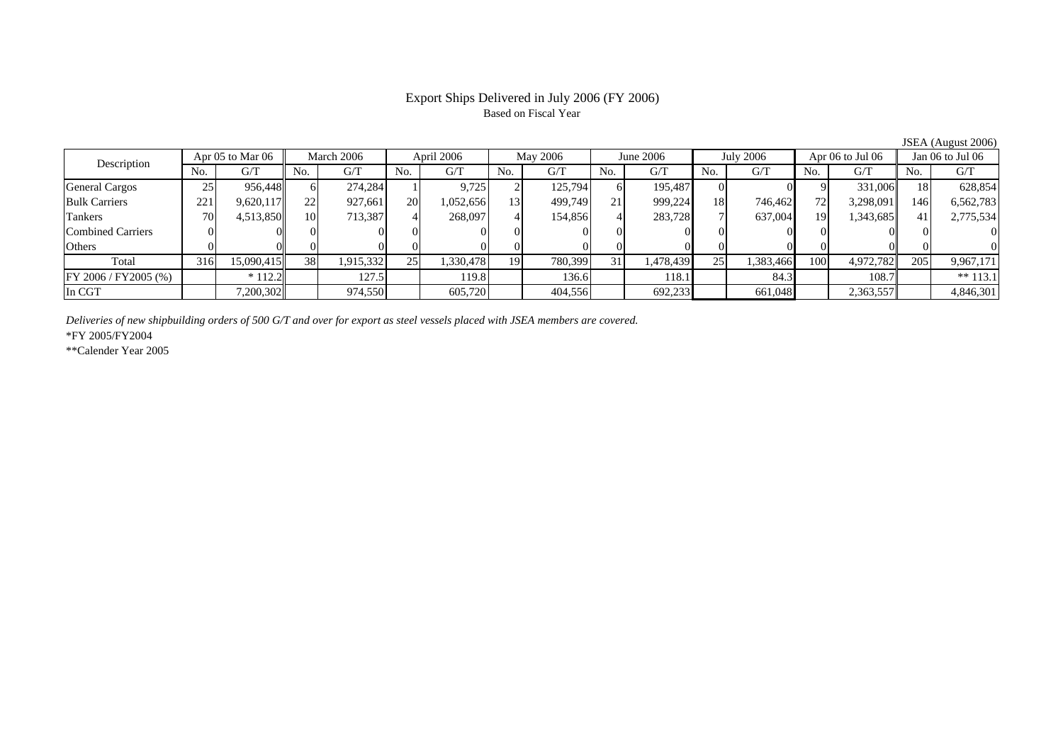### Export Ships Delivered in July 2006 (FY 2006) Based on Fiscal Year

No. I G/T II No. I G/T II No. I G/T II No. I G/T G/T II No. I G/T II No. I G/T II No. I G/T II No. I G/T II No  $\mathrm{G}/\mathrm{T}$ General Cargos 25 956,448 6 274,284 1 9,725 2 125,794 6 195,487 0 0 9 331,006 18 628,854 Bulk Carriers 221 9,620,117 22 927,661 20 1,052,656 13 499,749 21 999,224 18 746,462 72 3,298,091 146 6,562,783 Tankers | 70 | 4,513,850 || 10 | 713,387 | 4 | 268,097 | 4 | 154,856 | 4 | 283,728 | 7 | 637,004 | 19 | 1,343,685 | 41 | 2,77 Combined Carriers 0 0 0 0 0 0 0 0 0 0 0 0 0 0 0 0Others | 0 | 0 | 0 | 0 | 0 | 0 | 0 | 0 | 0 | 0 | 0 | 0 Total 316 15,090,415 38 1,915,332 25 1,330,478 19 780,399 31 1,478,439 25 1,383,466 100 4,972,782 205 9,967,171 FY 2006 / FY2005 (%) \* 112.2 127.5 119.8 136.6 118.1 84.3 108.7 \*\* 113.1 In CGT | | 7,200,302 | | 974,550 | | 605,720 | | 404,556 | | 692,233 | | 661,048 | | 2,363,557 | | 4,846,301 March 2006 April 2006 May 2006 Description Apr 05 to Mar 06 | March 2006 | April 2006 | May 2006 | June 2006 | July 2006 | Apr 06 to Jul 06 || Jan 06 to Jul 06

*Deliveries of new shipbuilding orders of 500 G/T and over for export as steel vessels placed with JSEA members are covered.*

\*FY 2005/FY2004

\*\*Calender Year 2005

JSEA (August 2006)